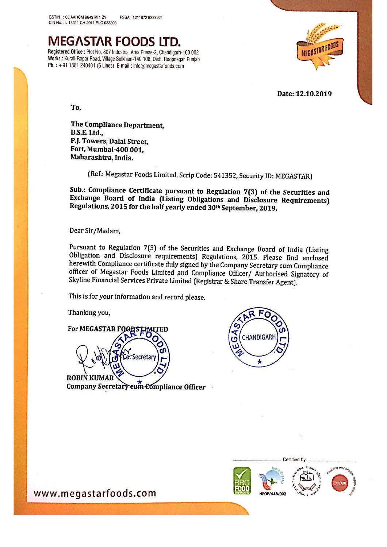MEG/\STAR FOODS LTD.

Registered Office : Plot No. 807 Industrial Area Phase-2, Chandigarh-160 002 Works : Kurali-Ropar Road, Village Solkhian-140 108, Distt. Roopnagar, Punjab Ph.: +91 1881 240401 (6 Lines) E-mail: info@megastarfoods.com



Date: 12.10.2019

To,

The Compliance Department, B.S.E. Ltd., PJ. Towers, Dalal Street, Fort, Mumbai-400 001. Maharashtra, India.

(Ref.: Megastar Foods Limited, Scrip Code: 541352. Security ID: MEGASTAR]

Sub.: Compliance Certificate pursuant to Regulation 7(3) of the Securities and Exchange Board of India (Listing Obligations and Disclosure Requirements] Regulations, 2015 for the half yearly ended 30<sup>th</sup> September, 2019.

Dear Sir/Madam,

Pursuant to Regulation 7(3) of the Securities and Exchange Board of India (Listing Obligation and Disclosure requirements) Regulations, 2015. Please find enclosed herewith Compliance certificate duly signed by the Company Secretary cum Compliance officer of Megastar Foods Limited and Compliance Officer/ Authorised Signatory of Skyline Financial Services Private Limited [Registrar & Share Transfer Agent).

This is for your information and record please.

Thanking you,

For MEGASTAR F **TED** 



**ROBIN KUM** Company Secretary eum Compliance Officer





www.megastarfoods.com